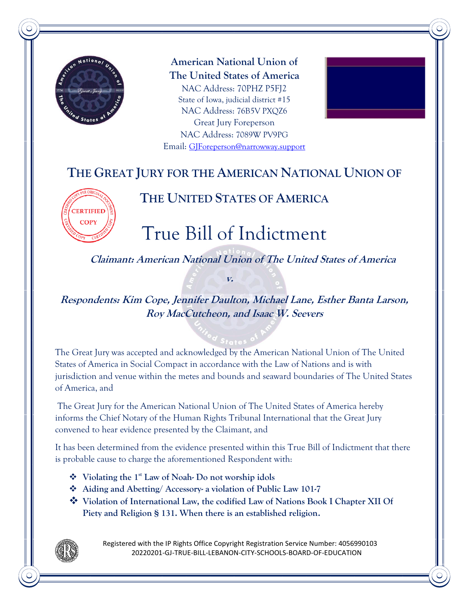

**American National Union of The United States of America** NAC Address: 70PHZ P5FJ2 State of Iowa, judicial district #15 NAC Address: 76B5V PXQZ6 Great Jury Foreperson NAC Address: 7089W PV9PG Email: [GJForeperson@narrowway.support](mailto:GJForeperson@narrowway.support)



# **THE GREAT JURY FOR THE AMERICAN NATIONAL UNION OF**



## **THE UNITED STATES OF AMERICA**

# True Bill of Indictment

**Claimant: American National Union of The United States of America** 

**Respondents: Kim Cope, Jennifer Daulton, Michael Lane, Esther Banta Larson, Roy MacCutcheon, and Isaac W. Seevers**

**v.**

The Great Jury was accepted and acknowledged by the American National Union of The United States of America in Social Compact in accordance with the Law of Nations and is with jurisdiction and venue within the metes and bounds and seaward boundaries of The United States of America, and

The Great Jury for the American National Union of The United States of America hereby informs the Chief Notary of the Human Rights Tribunal International that the Great Jury convened to hear evidence presented by the Claimant, and

It has been determined from the evidence presented within this True Bill of Indictment that there is probable cause to charge the aforementioned Respondent with:

- ❖ **Violating the 1st Law of Noah- Do not worship idols**
- ❖ **[Aiding and Abetting/ Accessory-](https://criminal.findlaw.com/criminal-charges/aiding-and-abetting-accessory.html) a violation of Public Law 101-7**
- ❖ **Violation of International Law, the codified Law of Nations Book I Chapter XII Of Piety and Religion § 131. When there is an established religion.**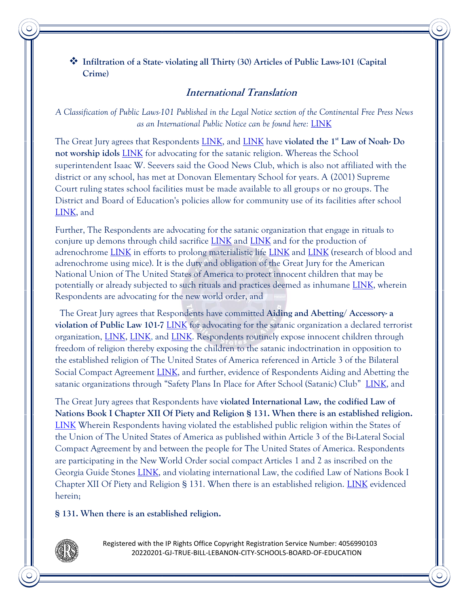❖ **Infiltration of a State- violating all Thirty (30) Articles of Public Laws-101 (Capital Crime)**

### **International Translation**

*A Classification of Public Laws-101 Published in the Legal Notice section of the Continental Free Press News as an International Public Notice can be found here:* [LINK](https://continentalfreepress.com/2020/09/20/the-universal-declaration-of-human-rights-is-hereby-classified-as-public-law-within-the-states-of-the-union-within-the-united-states-of-america/)

The Great Jury agrees that Respondents [LINK,](https://www.lebanonschools.org/departments/Board-of-Education-2/) and [LINK](https://www.lebanonschools.org/departments/superintendents-office-1/superintendent-1/) have **violated the 1st Law of Noah- Do not worship idols** [LINK](https://nationalgreatregistry.country/wp-content/uploads/2021/10/20190502-RHS-THE_SEVEN_ORIGINAL_LAWS_OF_NOAH.pdf) for advocating for the satanic religion. Whereas the School superintendent Isaac W. Seevers said the Good News Club, which is also not affiliated with the district or any school, has met at Donovan Elementary School for years. A (2001) Supreme Court ruling states school facilities must be made available to all groups or no groups. The District and Board of Education's policies allow for community use of its facilities after school [LINK,](https://boingboing.net/2022/01/21/satanic-temple-rents-space-at-ohio-public-school-for-after-school-satan-club-unsurprisingly-angers-some-parents.html) and

Further, The Respondents are advocating for the satanic organization that engage in rituals to conjure up demons through child sacrifice [LINK](https://www.washingtontimes.com/news/2021/mar/6/satanists-sue-for-religious-right-to-ritual-aborti/) and [LINK](https://thesatanictemple.com/pages/texas-lawsuit) and for the production of adrenochrome [LINK](https://en.wikipedia.org/wiki/Adrenochrome) in efforts to prolong materialistic life [LINK](https://www.bbc.co.uk/bbcthree/article/347828f8-6e7f-4a9b-92ab-95f637a9dc2e) and [LINK](https://physoc.onlinelibrary.wiley.com/doi/pdf/10.1113/jphysiol.1949.sp004305) (research of blood and adrenochrome using mice). It is the duty and obligation of the Great Jury for the American National Union of The United States of America to protect innocent children that may be potentially or already subjected to such rituals and practices deemed as inhumane [LINK,](https://trohshow.com/2021/03/04/let-us-pray-for-the-children-the-great-jury-stands-at-the-ready/) wherein Respondents are advocating for the new world order, and

The Great Jury agrees that Respondents have committed **[Aiding and Abetting/ Accessory-](https://criminal.findlaw.com/criminal-charges/aiding-and-abetting-accessory.html) a violation of Public Law 101-7** [LINK](https://boingboing.net/2022/01/21/satanic-temple-rents-space-at-ohio-public-school-for-after-school-satan-club-unsurprisingly-angers-some-parents.html) for advocating for the satanic organization a declared terrorist organization, [LINK,](https://americanheraldnews.com/?p=6716) [LINK,](https://americanheraldnews.com/?p=8519) and [LINK.](https://americanheraldnews.com/?p=8916) Respondents routinely expose innocent children through freedom of religion thereby exposing the children to the satanic indoctrination in opposition to the established religion of The United States of America referenced in Article 3 of the Bilateral Social Compact Agreement [LINK,](https://americanheraldnews.com/?p=4962) and further, evidence of Respondents Aiding and Abetting the satanic organizations through "Safety Plans In Place for After School (Satanic) Club"[LINK,](https://www.lebanonschools.org/district-news/entry/safety-plans-in-place-for-after-school-club-322/) and

The Great Jury agrees that Respondents have **violated International Law, the codified Law of Nations Book I Chapter XII Of Piety and Religion § 131. When there is an established religion.**  [LINK](https://www.lonang.com/wp-content/download/Vattel-LawOfNations.pdf) Wherein Respondents having violated the established public religion within the States of the Union of The United States of America as published within Article 3 of the Bi-Lateral Social Compact Agreement by and between the people for The United States of America. Respondents are participating in the New World Order social compact Articles 1 and 2 as inscribed on the Georgia Guide Stones [LINK,](https://en.wikipedia.org/wiki/Georgia_Guidestones) and violating international Law, the codified Law of Nations Book I Chapter XII Of Piety and Religion § 131. When there is an established religion. [LINK](https://americanheraldnews.com/?p=4962) evidenced herein;

**§ 131. When there is an established religion.**

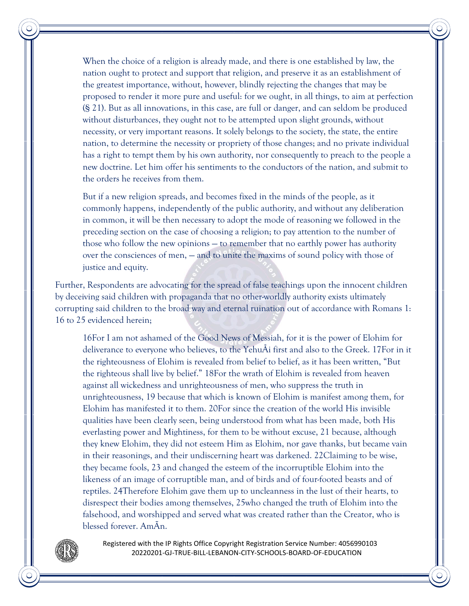When the choice of a religion is already made, and there is one established by law, the nation ought to protect and support that religion, and preserve it as an establishment of the greatest importance, without, however, blindly rejecting the changes that may be proposed to render it more pure and useful: for we ought, in all things, to aim at perfection (§ 21). But as all innovations, in this case, are full or danger, and can seldom be produced without disturbances, they ought not to be attempted upon slight grounds, without necessity, or very important reasons. It solely belongs to the society, the state, the entire nation, to determine the necessity or propriety of those changes; and no private individual has a right to tempt them by his own authority, nor consequently to preach to the people a new doctrine. Let him offer his sentiments to the conductors of the nation, and submit to the orders he receives from them.

But if a new religion spreads, and becomes fixed in the minds of the people, as it commonly happens, independently of the public authority, and without any deliberation in common, it will be then necessary to adopt the mode of reasoning we followed in the preceding section on the case of choosing a religion; to pay attention to the number of those who follow the new opinions — to remember that no earthly power has authority over the consciences of men, — and to unite the maxims of sound policy with those of justice and equity.

Further, Respondents are advocating for the spread of false teachings upon the innocent children by deceiving said children with propaganda that no other-worldly authority exists ultimately corrupting said children to the broad way and eternal ruination out of accordance with Romans 1: 16 to 25 evidenced herein;

16For I am not ashamed of the Good News of Messiah, for it is the power of Elohim for deliverance to everyone who believes, to the YehuÅi first and also to the Greek. 17For in it the righteousness of Elohim is revealed from belief to belief, as it has been written, "But the righteous shall live by belief." 18For the wrath of Elohim is revealed from heaven against all wickedness and unrighteousness of men, who suppress the truth in unrighteousness, 19 because that which is known of Elohim is manifest among them, for Elohim has manifested it to them. 20For since the creation of the world His invisible qualities have been clearly seen, being understood from what has been made, both His everlasting power and Mightiness, for them to be without excuse, 21 because, although they knew Elohim, they did not esteem Him as Elohim, nor gave thanks, but became vain in their reasonings, and their undiscerning heart was darkened. 22Claiming to be wise, they became fools, 23 and changed the esteem of the incorruptible Elohim into the likeness of an image of corruptible man, and of birds and of four-footed beasts and of reptiles. 24Therefore Elohim gave them up to uncleanness in the lust of their hearts, to disrespect their bodies among themselves, 25who changed the truth of Elohim into the falsehood, and worshipped and served what was created rather than the Creator, who is blessed forever. AmÃn.